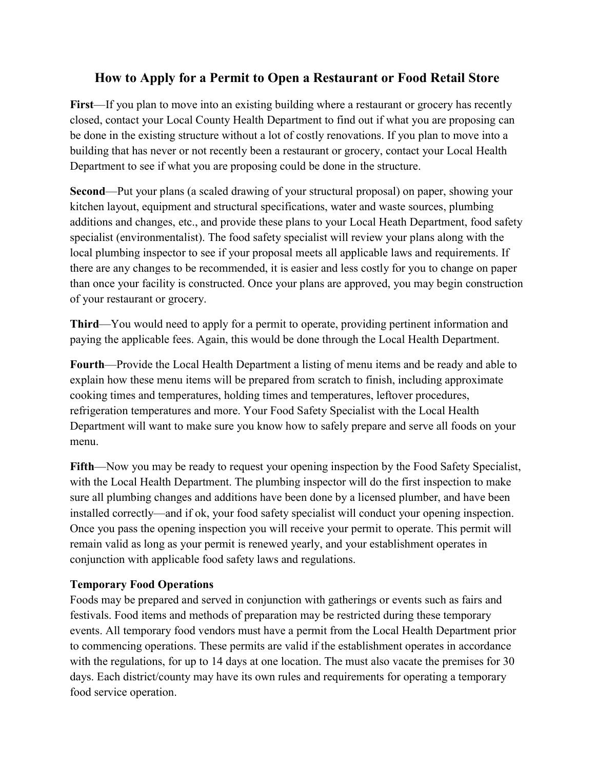# How to Apply for a Permit to Open a Restaurant or Food Retail Store

First—If you plan to move into an existing building where a restaurant or grocery has recently closed, contact your Local County Health Department to find out if what you are proposing can be done in the existing structure without a lot of costly renovations. If you plan to move into a building that has never or not recently been a restaurant or grocery, contact your Local Health Department to see if what you are proposing could be done in the structure.

Second—Put your plans (a scaled drawing of your structural proposal) on paper, showing your kitchen layout, equipment and structural specifications, water and waste sources, plumbing additions and changes, etc., and provide these plans to your Local Heath Department, food safety specialist (environmentalist). The food safety specialist will review your plans along with the local plumbing inspector to see if your proposal meets all applicable laws and requirements. If there are any changes to be recommended, it is easier and less costly for you to change on paper than once your facility is constructed. Once your plans are approved, you may begin construction of your restaurant or grocery.

Third—You would need to apply for a permit to operate, providing pertinent information and paying the applicable fees. Again, this would be done through the Local Health Department.

Fourth—Provide the Local Health Department a listing of menu items and be ready and able to explain how these menu items will be prepared from scratch to finish, including approximate cooking times and temperatures, holding times and temperatures, leftover procedures, refrigeration temperatures and more. Your Food Safety Specialist with the Local Health Department will want to make sure you know how to safely prepare and serve all foods on your menu.

Fifth—Now you may be ready to request your opening inspection by the Food Safety Specialist, with the Local Health Department. The plumbing inspector will do the first inspection to make sure all plumbing changes and additions have been done by a licensed plumber, and have been installed correctly—and if ok, your food safety specialist will conduct your opening inspection. Once you pass the opening inspection you will receive your permit to operate. This permit will remain valid as long as your permit is renewed yearly, and your establishment operates in conjunction with applicable food safety laws and regulations.

# Temporary Food Operations

Foods may be prepared and served in conjunction with gatherings or events such as fairs and festivals. Food items and methods of preparation may be restricted during these temporary events. All temporary food vendors must have a permit from the Local Health Department prior to commencing operations. These permits are valid if the establishment operates in accordance with the regulations, for up to 14 days at one location. The must also vacate the premises for 30 days. Each district/county may have its own rules and requirements for operating a temporary food service operation.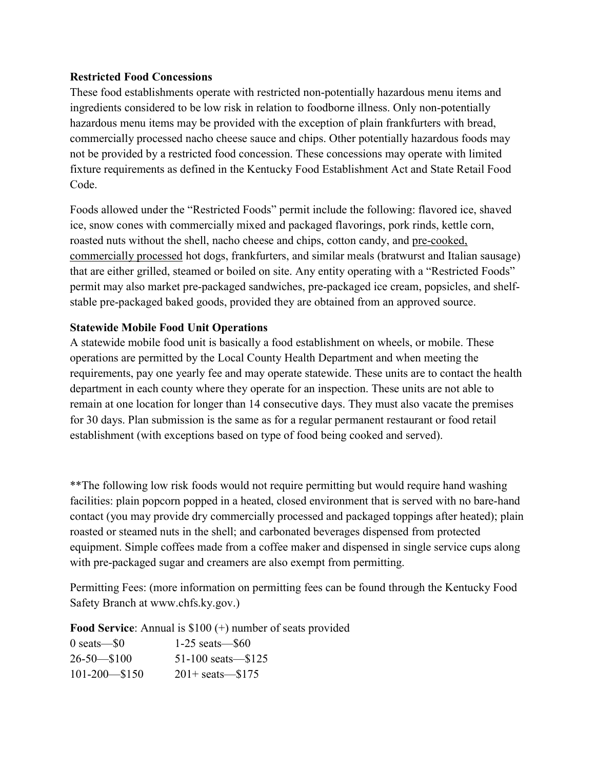## Restricted Food Concessions

These food establishments operate with restricted non-potentially hazardous menu items and ingredients considered to be low risk in relation to foodborne illness. Only non-potentially hazardous menu items may be provided with the exception of plain frankfurters with bread, commercially processed nacho cheese sauce and chips. Other potentially hazardous foods may not be provided by a restricted food concession. These concessions may operate with limited fixture requirements as defined in the Kentucky Food Establishment Act and State Retail Food Code.

Foods allowed under the "Restricted Foods" permit include the following: flavored ice, shaved ice, snow cones with commercially mixed and packaged flavorings, pork rinds, kettle corn, roasted nuts without the shell, nacho cheese and chips, cotton candy, and pre-cooked, commercially processed hot dogs, frankfurters, and similar meals (bratwurst and Italian sausage) that are either grilled, steamed or boiled on site. Any entity operating with a "Restricted Foods" permit may also market pre-packaged sandwiches, pre-packaged ice cream, popsicles, and shelfstable pre-packaged baked goods, provided they are obtained from an approved source.

### Statewide Mobile Food Unit Operations

A statewide mobile food unit is basically a food establishment on wheels, or mobile. These operations are permitted by the Local County Health Department and when meeting the requirements, pay one yearly fee and may operate statewide. These units are to contact the health department in each county where they operate for an inspection. These units are not able to remain at one location for longer than 14 consecutive days. They must also vacate the premises for 30 days. Plan submission is the same as for a regular permanent restaurant or food retail establishment (with exceptions based on type of food being cooked and served).

\*\*The following low risk foods would not require permitting but would require hand washing facilities: plain popcorn popped in a heated, closed environment that is served with no bare-hand contact (you may provide dry commercially processed and packaged toppings after heated); plain roasted or steamed nuts in the shell; and carbonated beverages dispensed from protected equipment. Simple coffees made from a coffee maker and dispensed in single service cups along with pre-packaged sugar and creamers are also exempt from permitting.

Permitting Fees: (more information on permitting fees can be found through the Kentucky Food Safety Branch at www.chfs.ky.gov.)

Food Service: Annual is \$100 (+) number of seats provided

| $0$ seats $-$ \$0  | $1-25$ seats $-$ \$60       |
|--------------------|-----------------------------|
| $26 - 50 - 100$    | 51-100 seats $-$ \$125      |
| $101 - 200 - $150$ | $201 + \text{seats} - $175$ |